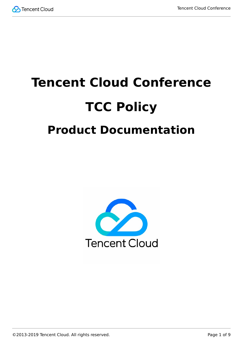

# **Tencent Cloud Conference TCC Policy Product Documentation**

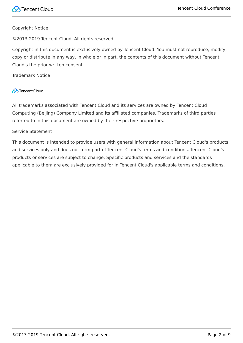#### Copyright Notice

©2013-2019 Tencent Cloud. All rights reserved.

Copyright in this document is exclusively owned by Tencent Cloud. You must not reproduce, modify, copy or distribute in any way, in whole or in part, the contents of this document without Tencent Cloud's the prior written consent.

Trademark Notice

#### **C** Tencent Cloud

All trademarks associated with Tencent Cloud and its services are owned by Tencent Cloud Computing (Beijing) Company Limited and its affiliated companies. Trademarks of third parties referred to in this document are owned by their respective proprietors.

#### Service Statement

This document is intended to provide users with general information about Tencent Cloud's products and services only and does not form part of Tencent Cloud's terms and conditions. Tencent Cloud's products or services are subject to change. Specific products and services and the standards applicable to them are exclusively provided for in Tencent Cloud's applicable terms and conditions.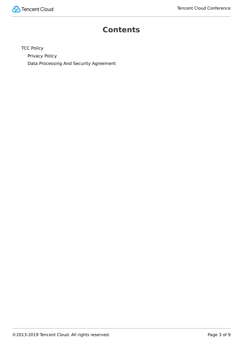

#### **Contents**

**[TCC Policy](#page-3-0)** [Privacy Policy](#page-3-1) [Data Processing And Security Agreement](#page-5-0)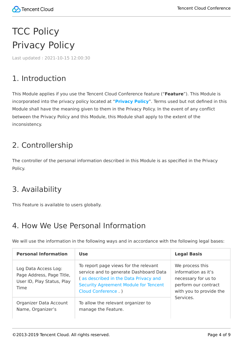## <span id="page-3-1"></span><span id="page-3-0"></span>**TCC Policy** Privacy Policy

Last updated:2021-10-15 12:00:30

## 1. Introduction

This Module applies if you use the Tencent Cloud Conference feature ("**Feature**"). This Module is incorporated into the privacy policy located at "**[Privacy Policy](https://intl.cloud.tencent.com/document/product/301/17345)**". Terms used but not defined in this Module shall have the meaning given to them in the Privacy Policy. In the event of any conflict between the Privacy Policy and this Module, this Module shall apply to the extent of the inconsistency.

## 2. Controllership

The controller of the personal information described in this Module is as specified in the Privacy Policy.

#### 3. Availability

This Feature is available to users globally.

#### 4. How We Use Personal Information

We will use the information in the following ways and in accordance with the following legal bases:

| <b>Personal Information</b>                                                                    | <b>Use</b>                                                                                                                                                                                     | <b>Legal Basis</b>                                                                                                            |
|------------------------------------------------------------------------------------------------|------------------------------------------------------------------------------------------------------------------------------------------------------------------------------------------------|-------------------------------------------------------------------------------------------------------------------------------|
| Log Data Access Log:<br>Page Address, Page Title,<br>User ID, Play Status, Play<br><b>Time</b> | To report page views for the relevant<br>service and to generate Dashboard Data<br>(as described in the Data Privacy and<br><b>Security Agreement Module for Tencent</b><br>Cloud Conference.) | We process this<br>information as it's<br>necessary for us to<br>perform our contract<br>with you to provide the<br>Services. |
| Organizer Data Account<br>Name, Organizer's                                                    | To allow the relevant organizer to<br>manage the Feature.                                                                                                                                      |                                                                                                                               |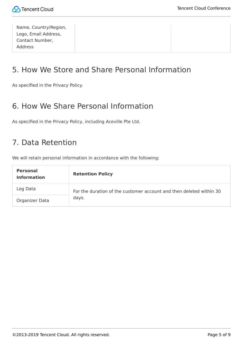| Name, Country/Region,<br>Logo, Email Address, |  |
|-----------------------------------------------|--|
| Contact Number,                               |  |
| Address                                       |  |

## 5. How We Store and Share Personal Information

As specified in the Privacy Policy.

#### 6. How We Share Personal Information

As specified in the Privacy Policy, including Aceville Pte Ltd.

#### 7. Data Retention

We will retain personal information in accordance with the following:

| <b>Personal</b><br><b>Information</b> | <b>Retention Policy</b>                                             |
|---------------------------------------|---------------------------------------------------------------------|
| Log Data                              | For the duration of the customer account and then deleted within 30 |
| Organizer Data                        | days.                                                               |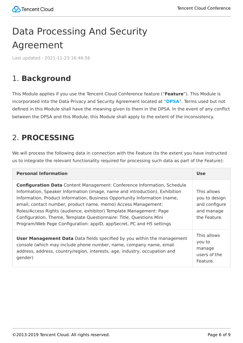# <span id="page-5-0"></span>Data Processing And Security Agreement

Last updated:2021-11-23 16:46:56

## 1. **Background**

This Module applies if you use the Tencent Cloud Conference feature ("**Feature**"). This Module is incorporated into the Data Privacy and Security Agreement located at "**[DPSA](https://intl.cloud.tencent.com/document/product/301/17347)**". Terms used but not defined in this Module shall have the meaning given to them in the DPSA. In the event of any conflict between the DPSA and this Module, this Module shall apply to the extent of the inconsistency.

## 2. **PROCESSING**

We will process the following data in connection with the Feature (to the extent you have instructed us to integrate the relevant functionality required for processing such data as part of the Feature):

| <b>Personal Information</b>                                                                                                                                                                                                                                                                                                                                                                                                                                                                                                       | <b>Use</b>                                                                  |
|-----------------------------------------------------------------------------------------------------------------------------------------------------------------------------------------------------------------------------------------------------------------------------------------------------------------------------------------------------------------------------------------------------------------------------------------------------------------------------------------------------------------------------------|-----------------------------------------------------------------------------|
| <b>Configuration Data</b> Content Management: Conference Information, Schedule<br>Information, Speaker Information (image, name and introduction), Exhibition<br>Information, Product Information, Business Opportunity Information (name,<br>email, contact number, product name, memo) Access Management:<br>Roles/Access Rights (audience, exhibitor) Template Management: Page<br>Configuration, Theme, Template Questionnaire: Title, Questions Mini<br>Program/Web Page Configuration: appID, appSecret, PC and H5 settings | This allows<br>you to design<br>and configure<br>and manage<br>the Feature. |
| <b>User Management Data</b> Data fields specified by you within the management<br>console (which may include phone number, name, company name, email<br>address, address, country/region, interests, age, industry, occupation and<br>gender)                                                                                                                                                                                                                                                                                     | This allows<br>you to<br>manage<br>users of the<br>Feature.                 |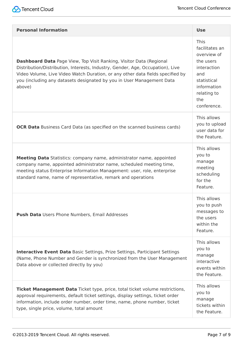

| <b>Personal Information</b>                                                                                                                                                                                                                                                                                                       | <b>Use</b>                                                                                                                                         |
|-----------------------------------------------------------------------------------------------------------------------------------------------------------------------------------------------------------------------------------------------------------------------------------------------------------------------------------|----------------------------------------------------------------------------------------------------------------------------------------------------|
| <b>Dashboard Data</b> Page View, Top Visit Ranking, Visitor Data (Regional<br>Distribution/Distribution, Interests, Industry, Gender, Age, Occupation), Live<br>Video Volume, Live Video Watch Duration, or any other data fields specified by<br>you (including any datasets designated by you in User Management Data<br>above) | <b>This</b><br>facilitates an<br>overview of<br>the users<br>interaction<br>and<br>statistical<br>information<br>relating to<br>the<br>conference. |
| <b>OCR Data</b> Business Card Data (as specified on the scanned business cards)                                                                                                                                                                                                                                                   | This allows<br>you to upload<br>user data for<br>the Feature.                                                                                      |
| Meeting Data Statistics: company name, administrator name, appointed<br>company name, appointed administrator name, scheduled meeting time,<br>meeting status Enterprise Information Management: user, role, enterprise<br>standard name, name of representative, remark and operations                                           | This allows<br>you to<br>manage<br>meeting<br>scheduling<br>for the<br>Feature.                                                                    |
| <b>Push Data</b> Users Phone Numbers, Email Addresses                                                                                                                                                                                                                                                                             | This allows<br>you to push<br>messages to<br>the users<br>within the<br>Feature.                                                                   |
| <b>Interactive Event Data</b> Basic Settings, Prize Settings, Participant Settings<br>(Name, Phone Number and Gender is synchronized from the User Management<br>Data above or collected directly by you)                                                                                                                         | This allows<br>you to<br>manage<br>interactive<br>events within<br>the Feature.                                                                    |
| Ticket Management Data Ticket type, price, total ticket volume restrictions,<br>approval requirements, default ticket settings, display settings, ticket order<br>information, include order number, order time, name, phone number, ticket<br>type, single price, volume, total amount                                           | This allows<br>you to<br>manage<br>tickets within<br>the Feature.                                                                                  |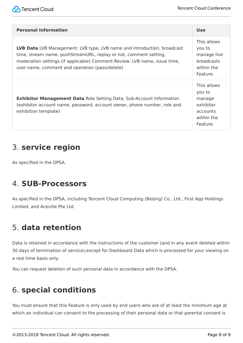| <b>Personal Information</b>                                                                                                                                                                                                                                                 | <b>Use</b>                                                                          |
|-----------------------------------------------------------------------------------------------------------------------------------------------------------------------------------------------------------------------------------------------------------------------------|-------------------------------------------------------------------------------------|
| LVB Data LVB Management: LVB type, LVB name and introduction, broadcast<br>time, stream name, pushStreamURL, replay or not, comment setting,<br>moderation settings (if applicable) Comment Review: LVB name, issue time,<br>user name, comment and operation (pass/delete) | This allows<br>you to<br>manage live<br><b>broadcasts</b><br>within the<br>Feature. |
| <b>Exhibitor Management Data Role Setting Data, Sub-Account Information</b><br>(exhibitor account name, password, account owner, phone number, role and<br>exhibition template)                                                                                             | This allows<br>you to<br>manage<br>exhibitor<br>accounts<br>within the<br>Feature.  |

#### 3. **service region**

As specified in the DPSA.

#### 4. **SUB-Processors**

As specified in the DPSA, including Tencent Cloud Computing (Beijing) Co., Ltd., First App Holdings Limited, and Aceville Pte Ltd.

## 5. **data retention**

Data is retained in accordance with the instructions of the customer (and in any event deleted within 30 days of termination of service),except for Dashboard Data which is processed for your viewing on a real time basis only.

You can request deletion of such personal data in accordance with the DPSA.

#### 6. **special conditions**

You must ensure that this Feature is only used by end users who are of at least the minimum age at which an individual can consent to the processing of their personal data or that parental consent is